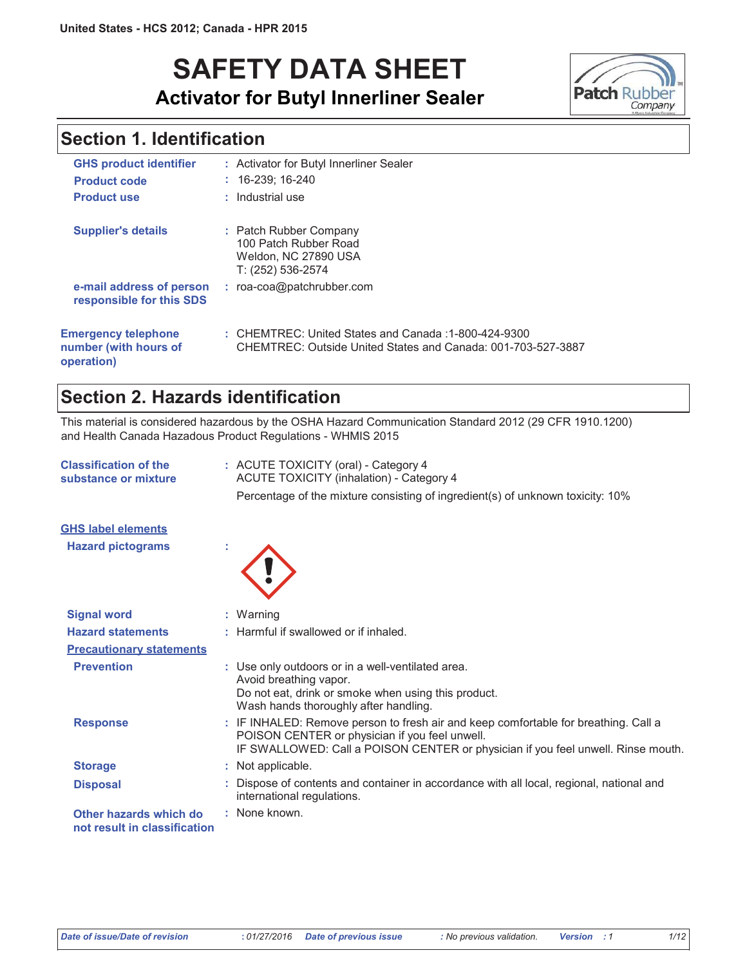# **SAFETY DATA SHEET Activator for Butyl Innerliner Sealer**



## **Section 1. Identification**

| <b>GHS product identifier</b>                                     | : Activator for Butyl Innerliner Sealer                                                                              |
|-------------------------------------------------------------------|----------------------------------------------------------------------------------------------------------------------|
| <b>Product code</b>                                               | $: 16-239:16-240$                                                                                                    |
| <b>Product use</b>                                                | : Industrial use                                                                                                     |
| <b>Supplier's details</b>                                         | : Patch Rubber Company<br>100 Patch Rubber Road<br>Weldon, NC 27890 USA<br>T: (252) 536-2574                         |
| e-mail address of person<br>responsible for this SDS              | $:$ roa-coa@patchrubber.com                                                                                          |
| <b>Emergency telephone</b><br>number (with hours of<br>operation) | : CHEMTREC: United States and Canada: 1-800-424-9300<br>CHEMTREC: Outside United States and Canada: 001-703-527-3887 |

### Section 2. Hazards identification

This material is considered hazardous by the OSHA Hazard Communication Standard 2012 (29 CFR 1910.1200) and Health Canada Hazadous Product Regulations - WHMIS 2015

| <b>Classification of the</b><br>substance or mixture   | : ACUTE TOXICITY (oral) - Category 4<br>ACUTE TOXICITY (inhalation) - Category 4                                                                                                                                          |  |  |
|--------------------------------------------------------|---------------------------------------------------------------------------------------------------------------------------------------------------------------------------------------------------------------------------|--|--|
|                                                        | Percentage of the mixture consisting of ingredient(s) of unknown toxicity: 10%                                                                                                                                            |  |  |
| <b>GHS label elements</b>                              |                                                                                                                                                                                                                           |  |  |
| <b>Hazard pictograms</b>                               |                                                                                                                                                                                                                           |  |  |
| <b>Signal word</b>                                     | : Warning                                                                                                                                                                                                                 |  |  |
| <b>Hazard statements</b>                               | : Harmful if swallowed or if inhaled.                                                                                                                                                                                     |  |  |
| <b>Precautionary statements</b>                        |                                                                                                                                                                                                                           |  |  |
| <b>Prevention</b>                                      | : Use only outdoors or in a well-ventilated area.<br>Avoid breathing vapor.<br>Do not eat, drink or smoke when using this product.<br>Wash hands thoroughly after handling.                                               |  |  |
| <b>Response</b>                                        | : IF INHALED: Remove person to fresh air and keep comfortable for breathing. Call a<br>POISON CENTER or physician if you feel unwell.<br>IF SWALLOWED: Call a POISON CENTER or physician if you feel unwell. Rinse mouth. |  |  |
| <b>Storage</b>                                         | : Not applicable.                                                                                                                                                                                                         |  |  |
| <b>Disposal</b>                                        | : Dispose of contents and container in accordance with all local, regional, national and<br>international regulations.                                                                                                    |  |  |
| Other hazards which do<br>not result in classification | : None known.                                                                                                                                                                                                             |  |  |
|                                                        |                                                                                                                                                                                                                           |  |  |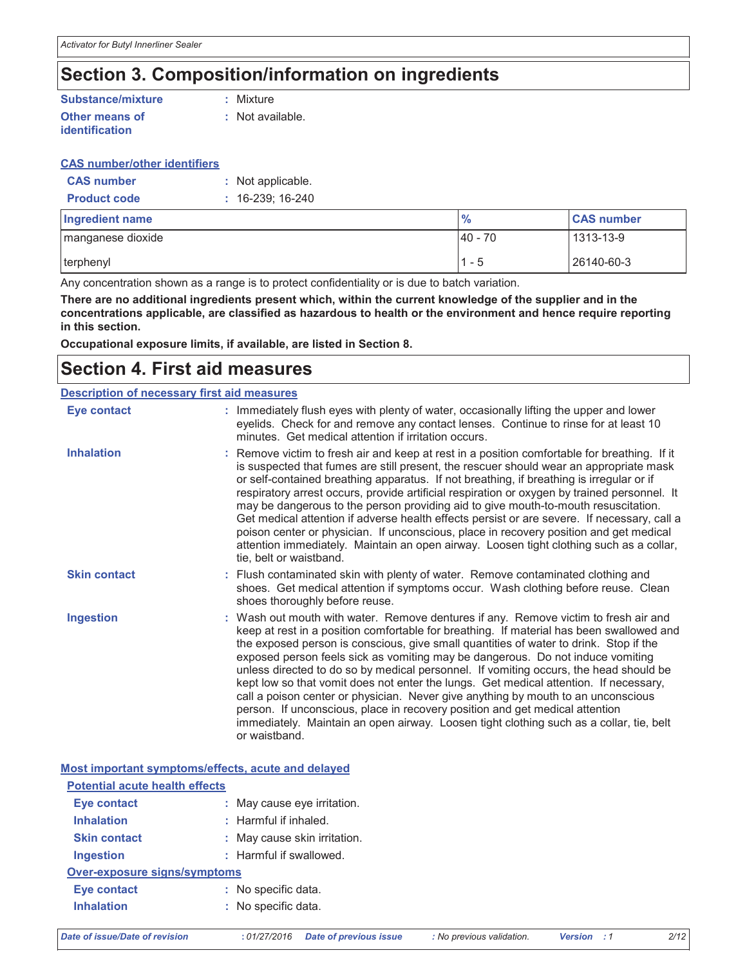## Section 3. Composition/information on ingredients

#### Substance/mixture : Mixture **Other means of** : Not available. identification

| <b>CAS number/other identifiers</b> |                    |
|-------------------------------------|--------------------|
| <b>CAS number</b>                   | : Not applicable.  |
| <b>Product code</b>                 | $: 16-239: 16-240$ |

| <b>Ingredient name</b> | $\frac{9}{6}$ | <b>CAS number</b> |
|------------------------|---------------|-------------------|
| I manganese dioxide    | $40 - 70$     | 1313-13-9         |
| I terphenyl            | и<br>1 - 5    | 26140-60-3        |

Any concentration shown as a range is to protect confidentiality or is due to batch variation.

There are no additional ingredients present which, within the current knowledge of the supplier and in the concentrations applicable, are classified as hazardous to health or the environment and hence require reporting in this section.

Occupational exposure limits, if available, are listed in Section 8.

## **Section 4. First aid measures**

| <b>Description of necessary first aid measures</b> |                                                                                                                                                                                                                                                                                                                                                                                                                                                                                                                                                                                                                                                                                                                                                                                                                               |  |
|----------------------------------------------------|-------------------------------------------------------------------------------------------------------------------------------------------------------------------------------------------------------------------------------------------------------------------------------------------------------------------------------------------------------------------------------------------------------------------------------------------------------------------------------------------------------------------------------------------------------------------------------------------------------------------------------------------------------------------------------------------------------------------------------------------------------------------------------------------------------------------------------|--|
|                                                    | : Immediately flush eyes with plenty of water, occasionally lifting the upper and lower<br>eyelids. Check for and remove any contact lenses. Continue to rinse for at least 10<br>minutes. Get medical attention if irritation occurs.                                                                                                                                                                                                                                                                                                                                                                                                                                                                                                                                                                                        |  |
|                                                    | : Remove victim to fresh air and keep at rest in a position comfortable for breathing. If it<br>is suspected that fumes are still present, the rescuer should wear an appropriate mask<br>or self-contained breathing apparatus. If not breathing, if breathing is irregular or if<br>respiratory arrest occurs, provide artificial respiration or oxygen by trained personnel. It<br>may be dangerous to the person providing aid to give mouth-to-mouth resuscitation.<br>Get medical attention if adverse health effects persist or are severe. If necessary, call a<br>poison center or physician. If unconscious, place in recovery position and get medical<br>attention immediately. Maintain an open airway. Loosen tight clothing such as a collar,<br>tie, belt or waistband.                                       |  |
|                                                    | : Flush contaminated skin with plenty of water. Remove contaminated clothing and<br>shoes. Get medical attention if symptoms occur. Wash clothing before reuse. Clean<br>shoes thoroughly before reuse.                                                                                                                                                                                                                                                                                                                                                                                                                                                                                                                                                                                                                       |  |
|                                                    | : Wash out mouth with water. Remove dentures if any. Remove victim to fresh air and<br>keep at rest in a position comfortable for breathing. If material has been swallowed and<br>the exposed person is conscious, give small quantities of water to drink. Stop if the<br>exposed person feels sick as vomiting may be dangerous. Do not induce vomiting<br>unless directed to do so by medical personnel. If vomiting occurs, the head should be<br>kept low so that vomit does not enter the lungs. Get medical attention. If necessary,<br>call a poison center or physician. Never give anything by mouth to an unconscious<br>person. If unconscious, place in recovery position and get medical attention<br>immediately. Maintain an open airway. Loosen tight clothing such as a collar, tie, belt<br>or waistband. |  |
|                                                    |                                                                                                                                                                                                                                                                                                                                                                                                                                                                                                                                                                                                                                                                                                                                                                                                                               |  |

Most important symptoms/effects, acute and delayed

| <b>Potential acute health effects</b> |                              |  |  |  |
|---------------------------------------|------------------------------|--|--|--|
| Eye contact                           | : May cause eye irritation.  |  |  |  |
| <b>Inhalation</b>                     | $:$ Harmful if inhaled.      |  |  |  |
| <b>Skin contact</b>                   | : May cause skin irritation. |  |  |  |
| Ingestion                             | : Harmful if swallowed.      |  |  |  |
| Over-exposure signs/symptoms          |                              |  |  |  |
| Eye contact                           | No specific data.            |  |  |  |
| <b>Inhalation</b>                     | No specific data.            |  |  |  |

 $2/12$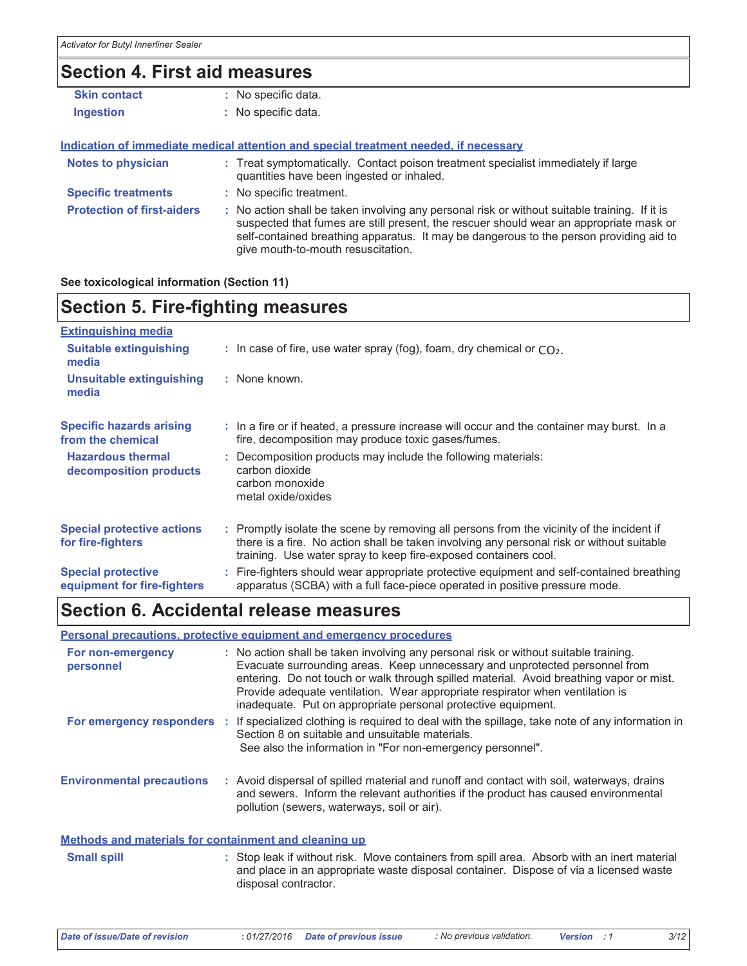## **Section 4. First aid measures**

| <b>Skin contact</b>               | : No specific data.                                                                                                                                                                                                                                                                                                     |
|-----------------------------------|-------------------------------------------------------------------------------------------------------------------------------------------------------------------------------------------------------------------------------------------------------------------------------------------------------------------------|
| <b>Ingestion</b>                  | : No specific data.                                                                                                                                                                                                                                                                                                     |
|                                   | <u>Indication of immediate medical attention and special treatment needed, if necessary</u>                                                                                                                                                                                                                             |
| <b>Notes to physician</b>         | : Treat symptomatically. Contact poison treatment specialist immediately if large<br>quantities have been ingested or inhaled.                                                                                                                                                                                          |
| <b>Specific treatments</b>        | : No specific treatment.                                                                                                                                                                                                                                                                                                |
| <b>Protection of first-aiders</b> | : No action shall be taken involving any personal risk or without suitable training. If it is<br>suspected that fumes are still present, the rescuer should wear an appropriate mask or<br>self-contained breathing apparatus. It may be dangerous to the person providing aid to<br>give mouth-to-mouth resuscitation. |

See toxicological information (Section 11)

## **Section 5. Fire-fighting measures**

| <b>Extinguishing media</b>                               |                                                                                                                                                                                                                                                           |
|----------------------------------------------------------|-----------------------------------------------------------------------------------------------------------------------------------------------------------------------------------------------------------------------------------------------------------|
| <b>Suitable extinguishing</b><br>media                   | : In case of fire, use water spray (fog), foam, dry chemical or $CO2$ .                                                                                                                                                                                   |
| <b>Unsuitable extinguishing</b><br>media                 | : None known.                                                                                                                                                                                                                                             |
| <b>Specific hazards arising</b><br>from the chemical     | : In a fire or if heated, a pressure increase will occur and the container may burst. In a<br>fire, decomposition may produce toxic gases/fumes.                                                                                                          |
| <b>Hazardous thermal</b><br>decomposition products       | : Decomposition products may include the following materials:<br>carbon dioxide<br>carbon monoxide<br>metal oxide/oxides                                                                                                                                  |
| <b>Special protective actions</b><br>for fire-fighters   | : Promptly isolate the scene by removing all persons from the vicinity of the incident if<br>there is a fire. No action shall be taken involving any personal risk or without suitable<br>training. Use water spray to keep fire-exposed containers cool. |
| <b>Special protective</b><br>equipment for fire-fighters | : Fire-fighters should wear appropriate protective equipment and self-contained breathing<br>apparatus (SCBA) with a full face-piece operated in positive pressure mode.                                                                                  |
|                                                          |                                                                                                                                                                                                                                                           |

## Section 6. Accidental release measures

### Personal precautions, protective equipment and emergency procedures

| For non-emergency<br>personnel   | : No action shall be taken involving any personal risk or without suitable training.<br>Evacuate surrounding areas. Keep unnecessary and unprotected personnel from<br>entering. Do not touch or walk through spilled material. Avoid breathing vapor or mist.<br>Provide adequate ventilation. Wear appropriate respirator when ventilation is<br>inadequate. Put on appropriate personal protective equipment. |
|----------------------------------|------------------------------------------------------------------------------------------------------------------------------------------------------------------------------------------------------------------------------------------------------------------------------------------------------------------------------------------------------------------------------------------------------------------|
|                                  | For emergency responders : If specialized clothing is required to deal with the spillage, take note of any information in<br>Section 8 on suitable and unsuitable materials.<br>See also the information in "For non-emergency personnel".                                                                                                                                                                       |
| <b>Environmental precautions</b> | : Avoid dispersal of spilled material and runoff and contact with soil, waterways, drains<br>and sewers. Inform the relevant authorities if the product has caused environmental<br>pollution (sewers, waterways, soil or air).                                                                                                                                                                                  |

### Methods and materials for containment and cleaning up

| <b>Small spill</b> | : Stop leak if without risk. Move containers from spill area. Absorb with an inert material |
|--------------------|---------------------------------------------------------------------------------------------|
|                    | and place in an appropriate waste disposal container. Dispose of via a licensed waste       |
|                    | disposal contractor.                                                                        |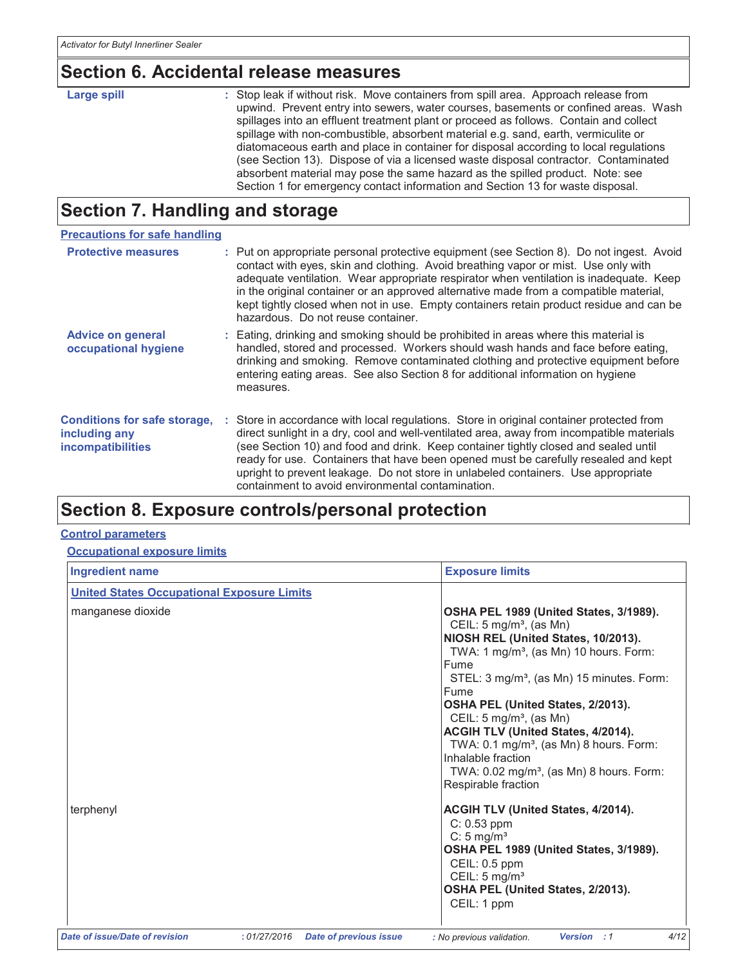# Section 6. Accidental release measures

| Large spill | : Stop leak if without risk. Move containers from spill area. Approach release from<br>upwind. Prevent entry into sewers, water courses, basements or confined areas. Wash<br>spillages into an effluent treatment plant or proceed as follows. Contain and collect<br>spillage with non-combustible, absorbent material e.g. sand, earth, vermiculite or<br>diatomaceous earth and place in container for disposal according to local regulations<br>(see Section 13). Dispose of via a licensed waste disposal contractor. Contaminated<br>absorbent material may pose the same hazard as the spilled product. Note: see |
|-------------|----------------------------------------------------------------------------------------------------------------------------------------------------------------------------------------------------------------------------------------------------------------------------------------------------------------------------------------------------------------------------------------------------------------------------------------------------------------------------------------------------------------------------------------------------------------------------------------------------------------------------|
|             | Section 1 for emergency contact information and Section 13 for waste disposal.                                                                                                                                                                                                                                                                                                                                                                                                                                                                                                                                             |

## **Section 7. Handling and storage**

| <b>Precautions for safe handling</b>                                             |  |                                                                                                                                                                                                                                                                                                                                                                                                                                                                                                              |  |  |
|----------------------------------------------------------------------------------|--|--------------------------------------------------------------------------------------------------------------------------------------------------------------------------------------------------------------------------------------------------------------------------------------------------------------------------------------------------------------------------------------------------------------------------------------------------------------------------------------------------------------|--|--|
| <b>Protective measures</b>                                                       |  | : Put on appropriate personal protective equipment (see Section 8). Do not ingest. Avoid<br>contact with eyes, skin and clothing. Avoid breathing vapor or mist. Use only with<br>adequate ventilation. Wear appropriate respirator when ventilation is inadequate. Keep<br>in the original container or an approved alternative made from a compatible material,<br>kept tightly closed when not in use. Empty containers retain product residue and can be<br>hazardous. Do not reuse container.           |  |  |
| <b>Advice on general</b><br>occupational hygiene                                 |  | : Eating, drinking and smoking should be prohibited in areas where this material is<br>handled, stored and processed. Workers should wash hands and face before eating,<br>drinking and smoking. Remove contaminated clothing and protective equipment before<br>entering eating areas. See also Section 8 for additional information on hygiene<br>measures.                                                                                                                                                |  |  |
| <b>Conditions for safe storage,</b><br>including any<br><b>incompatibilities</b> |  | : Store in accordance with local regulations. Store in original container protected from<br>direct sunlight in a dry, cool and well-ventilated area, away from incompatible materials<br>(see Section 10) and food and drink. Keep container tightly closed and sealed until<br>ready for use. Containers that have been opened must be carefully resealed and kept<br>upright to prevent leakage. Do not store in unlabeled containers. Use appropriate<br>containment to avoid environmental contamination |  |  |

# Section 8. Exposure controls/personal protection

### **Control parameters**

| <b>Occupational exposure limits</b> |  |
|-------------------------------------|--|
|                                     |  |

| <b>Ingredient name</b>                            | <b>Exposure limits</b>                                                                                                                                                                                                                                                                                                                                                                                                                                                                                                           |
|---------------------------------------------------|----------------------------------------------------------------------------------------------------------------------------------------------------------------------------------------------------------------------------------------------------------------------------------------------------------------------------------------------------------------------------------------------------------------------------------------------------------------------------------------------------------------------------------|
| <b>United States Occupational Exposure Limits</b> |                                                                                                                                                                                                                                                                                                                                                                                                                                                                                                                                  |
| manganese dioxide                                 | OSHA PEL 1989 (United States, 3/1989).<br>CEIL: 5 mg/m <sup>3</sup> , (as Mn)<br>NIOSH REL (United States, 10/2013).<br>TWA: 1 mg/m <sup>3</sup> , (as Mn) 10 hours. Form:<br>Fume<br>STEL: 3 mg/m <sup>3</sup> , (as Mn) 15 minutes. Form:<br>Fume<br>OSHA PEL (United States, 2/2013).<br>CEIL: $5 \text{ mg/m}^3$ , (as Mn)<br>ACGIH TLV (United States, 4/2014).<br>TWA: 0.1 mg/m <sup>3</sup> , (as Mn) 8 hours. Form:<br>Inhalable fraction<br>TWA: 0.02 mg/m <sup>3</sup> , (as Mn) 8 hours. Form:<br>Respirable fraction |
| terphenyl                                         | <b>ACGIH TLV (United States, 4/2014).</b><br>$C: 0.53$ ppm<br>C: 5 mg/ $m3$<br>OSHA PEL 1989 (United States, 3/1989).<br>CEIL: 0.5 ppm<br>CEIL: $5 \text{ mg/m}^3$<br>OSHA PEL (United States, 2/2013).<br>CEIL: 1 ppm                                                                                                                                                                                                                                                                                                           |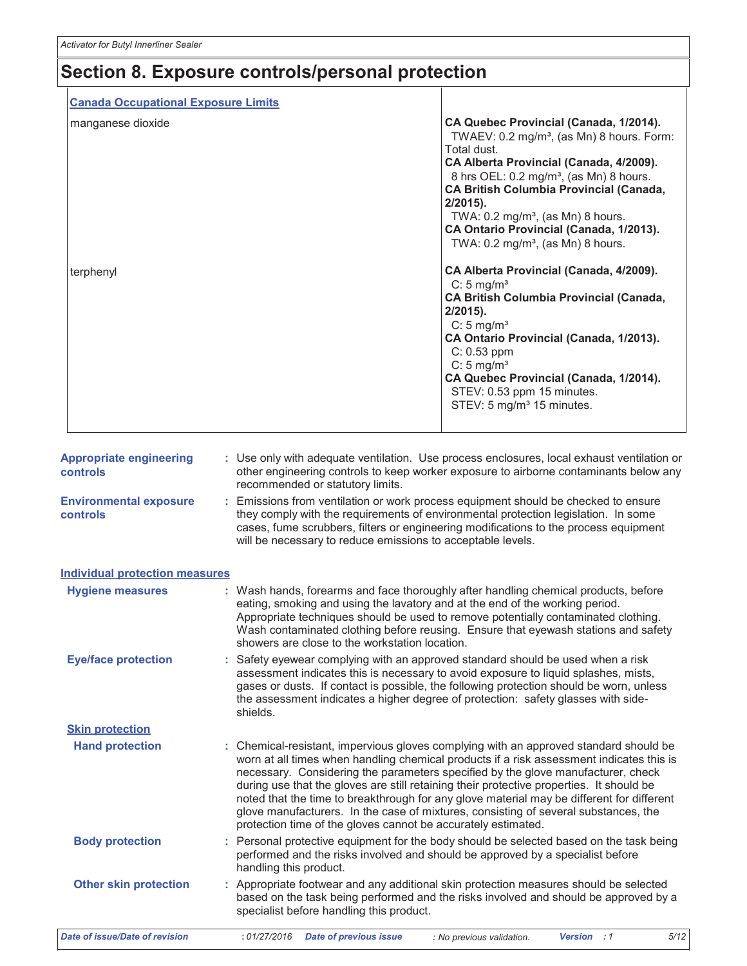# Section 8. Exposure controls/personal protection

| <b>Canada Occupational Exposure Limits</b> |                                                                                                 |                                                                                                                                                                                                                                                                                                                                                                                                                                                                                                                                                                                                                                                                                                                                                    |
|--------------------------------------------|-------------------------------------------------------------------------------------------------|----------------------------------------------------------------------------------------------------------------------------------------------------------------------------------------------------------------------------------------------------------------------------------------------------------------------------------------------------------------------------------------------------------------------------------------------------------------------------------------------------------------------------------------------------------------------------------------------------------------------------------------------------------------------------------------------------------------------------------------------------|
| manganese dioxide<br>terphenyl             |                                                                                                 | CA Quebec Provincial (Canada, 1/2014).<br>TWAEV: $0.2 \text{ mg/m}^3$ , (as Mn) 8 hours. Form:<br>Total dust.<br>CA Alberta Provincial (Canada, 4/2009).<br>8 hrs OEL: 0.2 mg/m <sup>3</sup> , (as Mn) 8 hours.<br>CA British Columbia Provincial (Canada,<br>$2/2015$ ).<br>TWA: $0.2 \text{ mg/m}^3$ , (as Mn) 8 hours.<br>CA Ontario Provincial (Canada, 1/2013).<br>TWA: $0.2 \text{ mg/m}^3$ , (as Mn) 8 hours.<br>CA Alberta Provincial (Canada, 4/2009).<br>$C: 5$ mg/m <sup>3</sup><br><b>CA British Columbia Provincial (Canada,</b><br>$2/2015$ ).<br>C: $5 \text{ mg/m}^3$<br>CA Ontario Provincial (Canada, 1/2013).<br>$C: 0.53$ ppm<br>C: $5 \text{ mg/m}^3$<br>CA Quebec Provincial (Canada, 1/2014).<br>STEV: 0.53 ppm 15 minutes. |
| <b>Appropriate engineering</b><br>controls |                                                                                                 | STEV: 5 mg/m <sup>3</sup> 15 minutes.<br>: Use only with adequate ventilation. Use process enclosures, local exhaust ventilation or<br>other engineering controls to keep worker exposure to airborne contaminants below any                                                                                                                                                                                                                                                                                                                                                                                                                                                                                                                       |
| <b>Environmental exposure</b><br>controls  | recommended or statutory limits.<br>will be necessary to reduce emissions to acceptable levels. | : Emissions from ventilation or work process equipment should be checked to ensure<br>they comply with the requirements of environmental protection legislation. In some<br>cases, fume scrubbers, filters or engineering modifications to the process equipment                                                                                                                                                                                                                                                                                                                                                                                                                                                                                   |

| <b>Individual protection measures</b> |                                                                                                                                                                                                                                                                                                                                                                                                                                                                                                                                                                                                                        |
|---------------------------------------|------------------------------------------------------------------------------------------------------------------------------------------------------------------------------------------------------------------------------------------------------------------------------------------------------------------------------------------------------------------------------------------------------------------------------------------------------------------------------------------------------------------------------------------------------------------------------------------------------------------------|
| <b>Hygiene measures</b>               | : Wash hands, forearms and face thoroughly after handling chemical products, before<br>eating, smoking and using the lavatory and at the end of the working period.<br>Appropriate techniques should be used to remove potentially contaminated clothing.<br>Wash contaminated clothing before reusing. Ensure that eyewash stations and safety<br>showers are close to the workstation location.                                                                                                                                                                                                                      |
| <b>Eye/face protection</b>            | : Safety eyewear complying with an approved standard should be used when a risk<br>assessment indicates this is necessary to avoid exposure to liquid splashes, mists,<br>gases or dusts. If contact is possible, the following protection should be worn, unless<br>the assessment indicates a higher degree of protection: safety glasses with side-<br>shields.                                                                                                                                                                                                                                                     |
| <b>Skin protection</b>                |                                                                                                                                                                                                                                                                                                                                                                                                                                                                                                                                                                                                                        |
| <b>Hand protection</b>                | : Chemical-resistant, impervious gloves complying with an approved standard should be<br>worn at all times when handling chemical products if a risk assessment indicates this is<br>necessary. Considering the parameters specified by the glove manufacturer, check<br>during use that the gloves are still retaining their protective properties. It should be<br>noted that the time to breakthrough for any glove material may be different for different<br>glove manufacturers. In the case of mixtures, consisting of several substances, the<br>protection time of the gloves cannot be accurately estimated. |
| <b>Body protection</b>                | : Personal protective equipment for the body should be selected based on the task being<br>performed and the risks involved and should be approved by a specialist before<br>handling this product.                                                                                                                                                                                                                                                                                                                                                                                                                    |
| <b>Other skin protection</b>          | : Appropriate footwear and any additional skin protection measures should be selected<br>based on the task being performed and the risks involved and should be approved by a<br>specialist before handling this product.                                                                                                                                                                                                                                                                                                                                                                                              |
| Date of issue/Date of revision        | 5/12<br>:01/27/2016<br><b>Date of previous issue</b><br>: No previous validation.<br>Version : 1                                                                                                                                                                                                                                                                                                                                                                                                                                                                                                                       |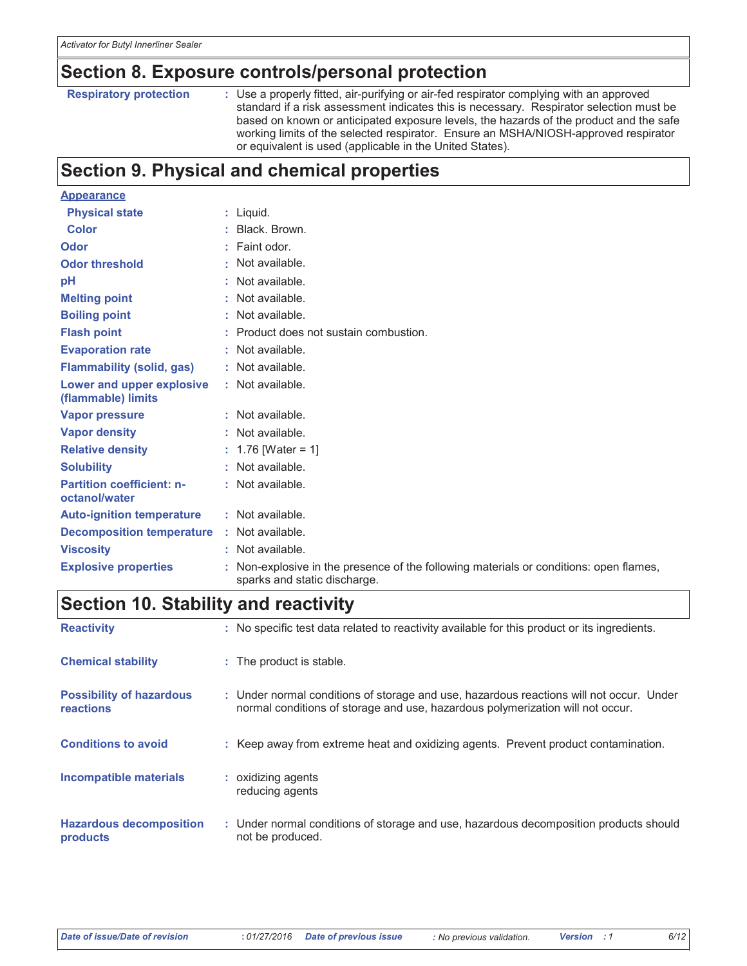### Section 8. Exposure controls/personal protection

**Respiratory protection** 

: Use a properly fitted, air-purifying or air-fed respirator complying with an approved standard if a risk assessment indicates this is necessary. Respirator selection must be based on known or anticipated exposure levels, the hazards of the product and the safe working limits of the selected respirator. Ensure an MSHA/NIOSH-approved respirator or equivalent is used (applicable in the United States).

## **Section 9. Physical and chemical properties**

| <b>Appearance</b>                                 |    |                                                                                                                      |
|---------------------------------------------------|----|----------------------------------------------------------------------------------------------------------------------|
| <b>Physical state</b>                             |    | $:$ Liquid.                                                                                                          |
| <b>Color</b>                                      |    | : Black, Brown.                                                                                                      |
| Odor                                              |    | $:$ Faint odor.                                                                                                      |
| <b>Odor threshold</b>                             |    | : Not available.                                                                                                     |
| pH                                                |    | : Not available.                                                                                                     |
| <b>Melting point</b>                              |    | : Not available.                                                                                                     |
| <b>Boiling point</b>                              |    | : Not available.                                                                                                     |
| <b>Flash point</b>                                |    | Product does not sustain combustion.                                                                                 |
| <b>Evaporation rate</b>                           |    | : Not available.                                                                                                     |
| <b>Flammability (solid, gas)</b>                  |    | : Not available.                                                                                                     |
| Lower and upper explosive<br>(flammable) limits   |    | : Not available.                                                                                                     |
| <b>Vapor pressure</b>                             |    | : Not available.                                                                                                     |
| <b>Vapor density</b>                              |    | : Not available.                                                                                                     |
| <b>Relative density</b>                           |    | : 1.76 [Water = 1]                                                                                                   |
| <b>Solubility</b>                                 |    | $:$ Not available.                                                                                                   |
| <b>Partition coefficient: n-</b><br>octanol/water |    | : Not available.                                                                                                     |
| <b>Auto-ignition temperature</b>                  |    | : Not available.                                                                                                     |
| <b>Decomposition temperature</b>                  |    | : Not available.                                                                                                     |
| <b>Viscosity</b>                                  |    | : Not available.                                                                                                     |
| <b>Explosive properties</b>                       | ÷. | Non-explosive in the presence of the following materials or conditions: open flames,<br>sparks and static discharge. |

## **Section 10. Stability and reactivity**

| <b>Reactivity</b>                            | : No specific test data related to reactivity available for this product or its ingredients.                                                                              |
|----------------------------------------------|---------------------------------------------------------------------------------------------------------------------------------------------------------------------------|
| <b>Chemical stability</b>                    | : The product is stable.                                                                                                                                                  |
| <b>Possibility of hazardous</b><br>reactions | : Under normal conditions of storage and use, hazardous reactions will not occur. Under<br>normal conditions of storage and use, hazardous polymerization will not occur. |
| <b>Conditions to avoid</b>                   | : Keep away from extreme heat and oxidizing agents. Prevent product contamination.                                                                                        |
| <b>Incompatible materials</b>                | : oxidizing agents<br>reducing agents                                                                                                                                     |
| <b>Hazardous decomposition</b><br>products   | : Under normal conditions of storage and use, hazardous decomposition products should<br>not be produced.                                                                 |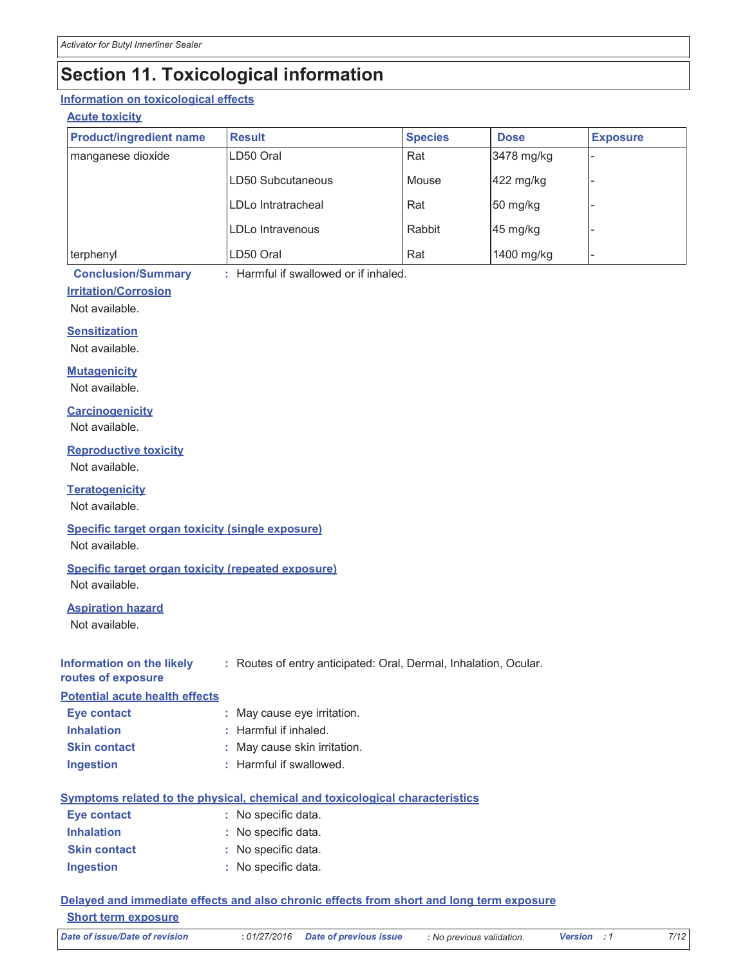## **Section 11. Toxicological information**

### Information on toxicological effects

### **Acute toxicity**

| <b>Product/ingredient name</b> | <b>Result</b>      | <b>Species</b> | <b>Dose</b>                      | <b>Exposure</b> |
|--------------------------------|--------------------|----------------|----------------------------------|-----------------|
| manganese dioxide              | LD50 Oral          | Rat            | 3478 mg/kg                       |                 |
|                                | LD50 Subcutaneous  | Mouse          | 422 mg/kg                        |                 |
|                                | LDLo Intratracheal | Rat            | $50 \frac{\text{mg}}{\text{kg}}$ |                 |
|                                | LDLo Intravenous   | Rabbit         | 45 mg/kg                         |                 |
| terphenyl                      | LD50 Oral          | Rat            | 1400 mg/kg                       |                 |

**Conclusion/Summary** 

: Harmful if swallowed or if inhaled.

### **Irritation/Corrosion**

Not available.

#### **Sensitization**

Not available.

#### **Mutagenicity**

Not available.

#### **Carcinogenicity**

Not available.

#### **Reproductive toxicity**

Not available.

### **Teratogenicity**

Not available.

### Specific target organ toxicity (single exposure)

Not available.

### Specific target organ toxicity (repeated exposure)

Not available.

### **Aspiration hazard**

Not available.

| Information on the likely | : Routes of entry anticipated: Oral, Dermal, Inhalation, Ocular. |  |  |
|---------------------------|------------------------------------------------------------------|--|--|
| routes of exposure        |                                                                  |  |  |

### **Potential acute health effects**

| <b>Eye contact</b>  | : May cause eye irritation.  |
|---------------------|------------------------------|
| <b>Inhalation</b>   | $:$ Harmful if inhaled.      |
| <b>Skin contact</b> | : May cause skin irritation. |
| <b>Ingestion</b>    | : Harmful if swallowed.      |

### Symptoms related to the physical, chemical and toxicological characteristics

| Eye contact         | : No specific data. |
|---------------------|---------------------|
| <b>Inhalation</b>   | : No specific data. |
| <b>Skin contact</b> | : No specific data. |
| <b>Ingestion</b>    | : No specific data. |

### Delayed and immediate effects and also chronic effects from short and long term exposure **Short term exposure**

**Date of issue/Date of revision** 

Version : 1

 $7/12$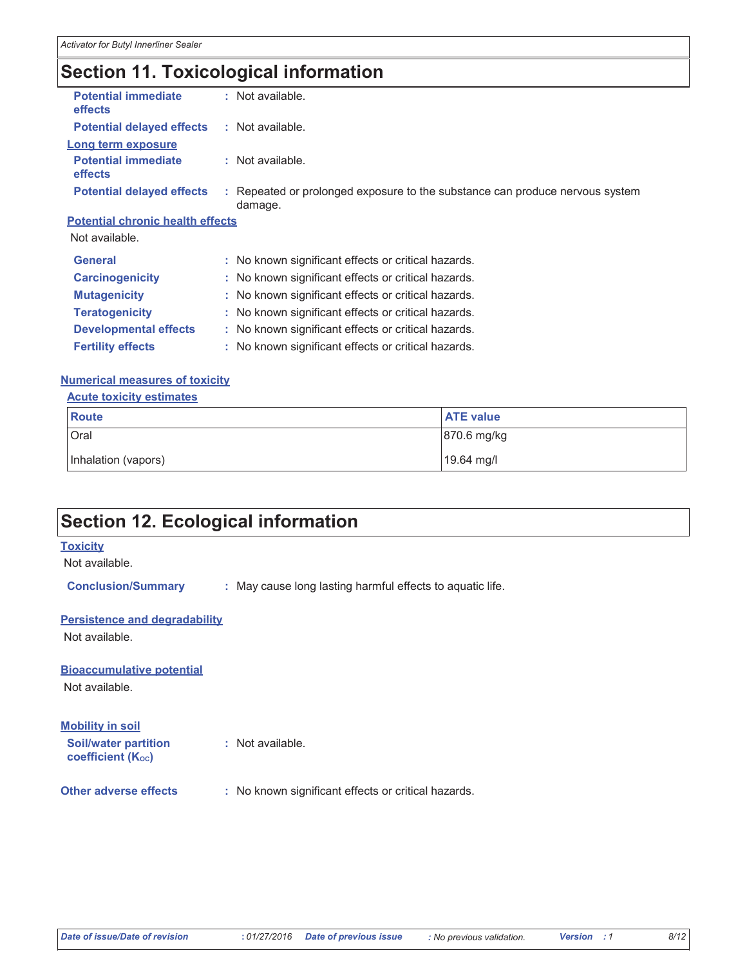## **Section 11. Toxicological information**

|                                         | : Not available.                                                                        |
|-----------------------------------------|-----------------------------------------------------------------------------------------|
|                                         | : Not available.                                                                        |
|                                         |                                                                                         |
|                                         | : Not available.                                                                        |
|                                         | : Repeated or prolonged exposure to the substance can produce nervous system<br>damage. |
| <b>Potential chronic health effects</b> |                                                                                         |
|                                         |                                                                                         |
|                                         | : No known significant effects or critical hazards.                                     |
|                                         | : No known significant effects or critical hazards.                                     |
|                                         | : No known significant effects or critical hazards.                                     |
|                                         | : No known significant effects or critical hazards.                                     |
|                                         | : No known significant effects or critical hazards.                                     |
|                                         | : No known significant effects or critical hazards.                                     |
|                                         |                                                                                         |

#### **Numerical measures of toxicity**

#### **Acute toxicity estimates**

| Route               | <b>ATE value</b> |
|---------------------|------------------|
| Oral                | 870.6 mg/kg      |
| Inhalation (vapors) | 19.64 mg/l       |

## **Section 12. Ecological information**

### **Toxicity**

Not available.

**Conclusion/Summary** : May cause long lasting harmful effects to aquatic life.

#### **Persistence and degradability**

Not available.

### **Bioaccumulative potential**

Not available.

coefficient (Koc)

#### **Mobility in soil Soil/water partition** : Not available.

**Other adverse effects** : No known significant effects or critical hazards.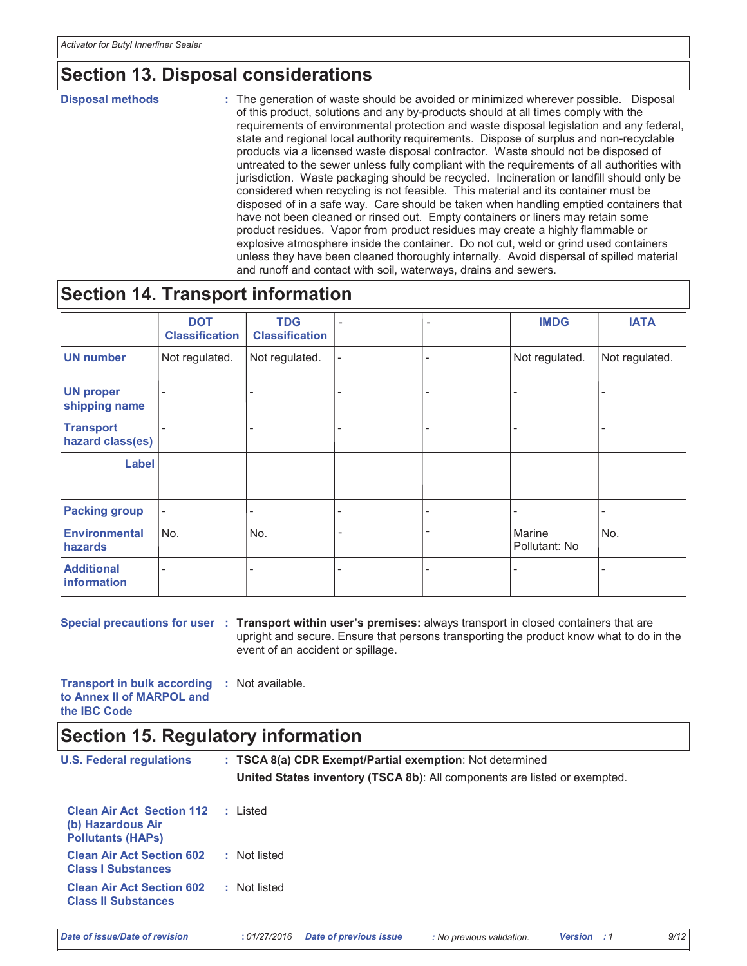## **Section 13. Disposal considerations**

**Disposal methods** 

: The generation of waste should be avoided or minimized wherever possible. Disposal of this product, solutions and any by-products should at all times comply with the requirements of environmental protection and waste disposal legislation and any federal, state and regional local authority requirements. Dispose of surplus and non-recyclable products via a licensed waste disposal contractor. Waste should not be disposed of untreated to the sewer unless fully compliant with the requirements of all authorities with jurisdiction. Waste packaging should be recycled. Incineration or landfill should only be considered when recycling is not feasible. This material and its container must be disposed of in a safe way. Care should be taken when handling emptied containers that have not been cleaned or rinsed out. Empty containers or liners may retain some product residues. Vapor from product residues may create a highly flammable or explosive atmosphere inside the container. Do not cut, weld or grind used containers unless they have been cleaned thoroughly internally. Avoid dispersal of spilled material and runoff and contact with soil, waterways, drains and sewers.

### **Section 14. Transport information**

|                                      | <b>DOT</b><br><b>Classification</b> | <b>TDG</b><br><b>Classification</b> |   | <b>IMDG</b>             | <b>IATA</b>    |
|--------------------------------------|-------------------------------------|-------------------------------------|---|-------------------------|----------------|
| <b>UN number</b>                     | Not regulated.                      | Not regulated.                      |   | Not regulated.          | Not regulated. |
| <b>UN proper</b><br>shipping name    | $\overline{\phantom{a}}$            |                                     |   |                         |                |
| <b>Transport</b><br>hazard class(es) |                                     |                                     |   |                         |                |
| Label                                |                                     |                                     |   |                         |                |
| <b>Packing group</b>                 | $\overline{\phantom{0}}$            |                                     |   |                         |                |
| <b>Environmental</b><br>hazards      | No.                                 | No.                                 | ۰ | Marine<br>Pollutant: No | No.            |
| <b>Additional</b><br>information     | Ξ.                                  |                                     |   | ۰                       |                |

Special precautions for user : Transport within user's premises: always transport in closed containers that are upright and secure. Ensure that persons transporting the product know what to do in the event of an accident or spillage.

**Transport in bulk according : Not available.** to Annex II of MARPOL and the IBC Code

### **Section 15. Regulatory information**

| <b>U.S. Federal regulations</b>                                                   |    | : TSCA 8(a) CDR Exempt/Partial exemption: Not determined                         |  |  |
|-----------------------------------------------------------------------------------|----|----------------------------------------------------------------------------------|--|--|
|                                                                                   |    | <b>United States inventory (TSCA 8b):</b> All components are listed or exempted. |  |  |
| <b>Clean Air Act Section 112</b><br>(b) Hazardous Air<br><b>Pollutants (HAPs)</b> | 20 | Listed                                                                           |  |  |
| <b>Clean Air Act Section 602</b><br><b>Class I Substances</b>                     |    | : Not listed                                                                     |  |  |
| <b>Clean Air Act Section 602</b><br><b>Class II Substances</b>                    |    | : Not listed                                                                     |  |  |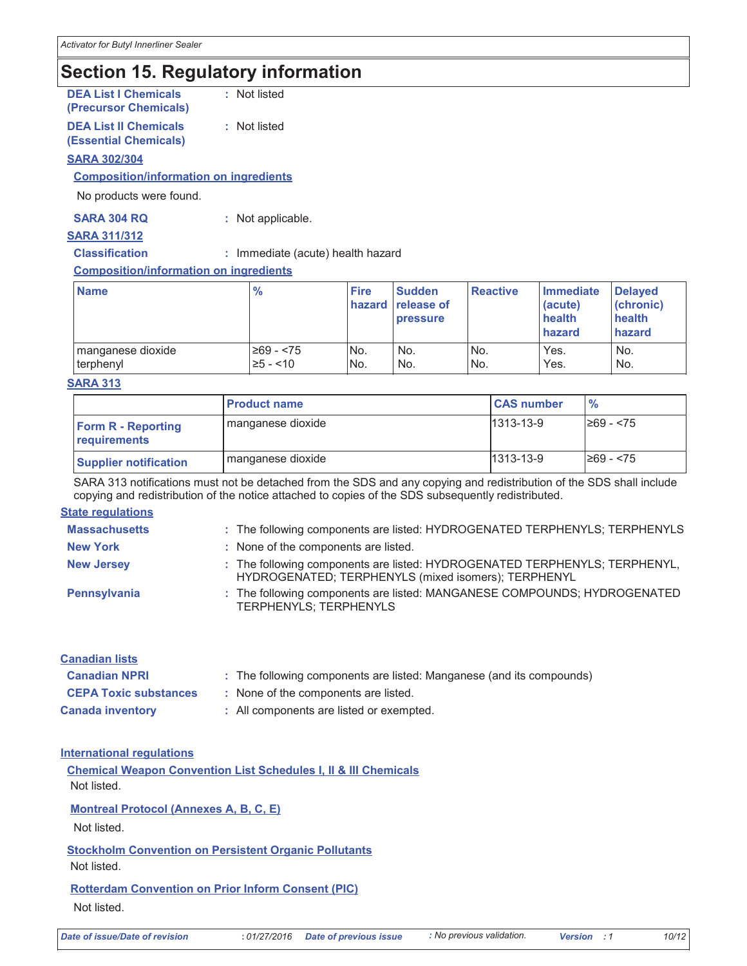## **Section 15. Regulatory information**

**DEA List I Chemicals** : Not listed (Precursor Chemicals)

#### **DEA List II Chemicals** : Not listed **(Essential Chemicals)**

#### **SARA 302/304**

#### **Composition/information on ingredients**

No products were found.

| <b>SARA 304 RQ</b> | : Not applicable. |  |
|--------------------|-------------------|--|
|--------------------|-------------------|--|

#### **SARA 311/312**

**Classification** : Immediate (acute) health hazard

#### **Composition/information on ingredients**

| <b>Name</b>       | $\frac{9}{6}$ | <b>Fire</b>     | <b>Sudden</b><br>hazard release of<br><b>pressure</b> | <b>Reactive</b> | Immediate<br>(acute)<br>health<br>hazard | <b>Delaved</b><br>(chronic)<br>health<br>hazard |
|-------------------|---------------|-----------------|-------------------------------------------------------|-----------------|------------------------------------------|-------------------------------------------------|
| manganese dioxide | $≥69 - < 75$  | IN <sub>o</sub> | No.                                                   | No.             | Yes.                                     | No.                                             |
| terphenyl         | 25 - <10      | No.             | No.                                                   | No.             | Yes.                                     | No.                                             |

#### **SARA 313**

|                                           | <b>Product name</b> | <b>CAS number</b> | $\frac{9}{6}$ |
|-------------------------------------------|---------------------|-------------------|---------------|
| <b>Form R - Reporting</b><br>requirements | manganese dioxide   | $1313 - 13 - 9$   | I≥69 - <75    |
| <b>Supplier notification</b>              | I manganese dioxide | $1313 - 13 - 9$   | I≥69 - <75    |

SARA 313 notifications must not be detached from the SDS and any copying and redistribution of the SDS shall include copying and redistribution of the notice attached to copies of the SDS subsequently redistributed.

#### **State regulations**

| <b>Massachusetts</b> | : The following components are listed: HYDROGENATED TERPHENYLS; TERPHENYLS                                                        |
|----------------------|-----------------------------------------------------------------------------------------------------------------------------------|
| <b>New York</b>      | : None of the components are listed.                                                                                              |
| <b>New Jersey</b>    | : The following components are listed: HYDROGENATED TERPHENYLS; TERPHENYL,<br>HYDROGENATED; TERPHENYLS (mixed isomers); TERPHENYL |
| Pennsylvania         | : The following components are listed: MANGANESE COMPOUNDS; HYDROGENATED<br><b>TERPHENYLS; TERPHENYLS</b>                         |

| <b>Canadian lists</b>        |                                                                      |  |
|------------------------------|----------------------------------------------------------------------|--|
| <b>Canadian NPRI</b>         | : The following components are listed: Manganese (and its compounds) |  |
| <b>CEPA Toxic substances</b> | : None of the components are listed.                                 |  |
| <b>Canada inventory</b>      | : All components are listed or exempted.                             |  |

#### **International requlations**

**Chemical Weapon Convention List Schedules I, II & III Chemicals** Not listed. **Montreal Protocol (Annexes A, B, C, E)** 

Not listed.

**Stockholm Convention on Persistent Organic Pollutants** 

Not listed.

**Rotterdam Convention on Prior Inform Consent (PIC)** Not listed.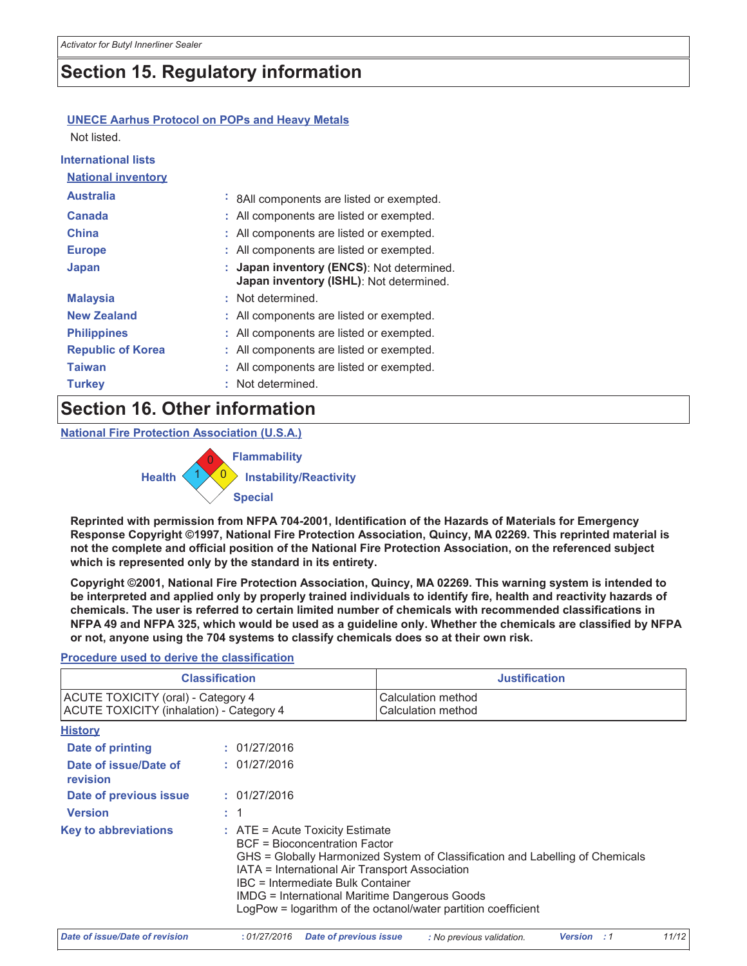## **Section 15. Regulatory information**

### **UNECE Aarhus Protocol on POPs and Heavy Metals**

Not listed.

| <b>International lists</b> |                                                                                    |
|----------------------------|------------------------------------------------------------------------------------|
| <b>National inventory</b>  |                                                                                    |
| <b>Australia</b>           | : 8All components are listed or exempted.                                          |
| Canada                     | : All components are listed or exempted.                                           |
| <b>China</b>               | : All components are listed or exempted.                                           |
| <b>Europe</b>              | : All components are listed or exempted.                                           |
| <b>Japan</b>               | Japan inventory (ENCS): Not determined.<br>Japan inventory (ISHL): Not determined. |
| <b>Malaysia</b>            | : Not determined.                                                                  |
| <b>New Zealand</b>         | : All components are listed or exempted.                                           |
| <b>Philippines</b>         | : All components are listed or exempted.                                           |
| <b>Republic of Korea</b>   | : All components are listed or exempted.                                           |
| <b>Taiwan</b>              | : All components are listed or exempted.                                           |
| <b>Turkey</b>              | : Not determined.                                                                  |

### **Section 16. Other information**

**National Fire Protection Association (U.S.A.)** 



Reprinted with permission from NFPA 704-2001, Identification of the Hazards of Materials for Emergency Response Copyright ©1997, National Fire Protection Association, Quincy, MA 02269. This reprinted material is not the complete and official position of the National Fire Protection Association, on the referenced subject which is represented only by the standard in its entirety.

Copyright ©2001, National Fire Protection Association, Quincy, MA 02269. This warning system is intended to be interpreted and applied only by properly trained individuals to identify fire, health and reactivity hazards of chemicals. The user is referred to certain limited number of chemicals with recommended classifications in NFPA 49 and NFPA 325, which would be used as a guideline only. Whether the chemicals are classified by NFPA or not, anyone using the 704 systems to classify chemicals does so at their own risk.

### **Procedure used to derive the classification**

| <b>Classification</b>                                                                 |  |                                                                                                                                                                                                                                                                                                                                                                              | <b>Justification</b>                     |  |
|---------------------------------------------------------------------------------------|--|------------------------------------------------------------------------------------------------------------------------------------------------------------------------------------------------------------------------------------------------------------------------------------------------------------------------------------------------------------------------------|------------------------------------------|--|
| <b>ACUTE TOXICITY (oral) - Category 4</b><br>ACUTE TOXICITY (inhalation) - Category 4 |  |                                                                                                                                                                                                                                                                                                                                                                              | Calculation method<br>Calculation method |  |
| <b>History</b>                                                                        |  |                                                                                                                                                                                                                                                                                                                                                                              |                                          |  |
| Date of printing                                                                      |  | : 01/27/2016                                                                                                                                                                                                                                                                                                                                                                 |                                          |  |
| Date of issue/Date of<br>revision                                                     |  | : 01/27/2016                                                                                                                                                                                                                                                                                                                                                                 |                                          |  |
| Date of previous issue                                                                |  | : 01/27/2016                                                                                                                                                                                                                                                                                                                                                                 |                                          |  |
| <b>Version</b>                                                                        |  | : 1                                                                                                                                                                                                                                                                                                                                                                          |                                          |  |
| <b>Key to abbreviations</b>                                                           |  | $\therefore$ ATE = Acute Toxicity Estimate<br><b>BCF</b> = Bioconcentration Factor<br>GHS = Globally Harmonized System of Classification and Labelling of Chemicals<br>IATA = International Air Transport Association<br>IBC = Intermediate Bulk Container<br>IMDG = International Maritime Dangerous Goods<br>LogPow = logarithm of the octanol/water partition coefficient |                                          |  |